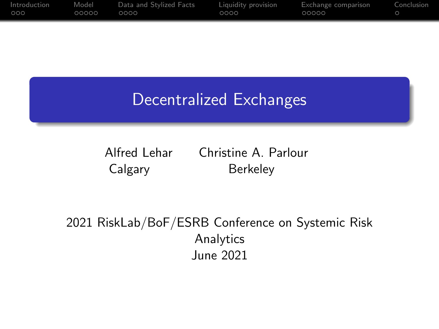| Introduction | Model | Data and Stylized Facts | Liquidity provision | Exchange comparison | Conclusion |
|--------------|-------|-------------------------|---------------------|---------------------|------------|
| 000          | 00000 | 0000 -                  | 0000                | 00000               |            |

## Decentralized Exchanges

Alfred Lehar Christine A. Parlour Calgary Berkeley

2021 RiskLab/BoF/ESRB Conference on Systemic Risk Analytics June 2021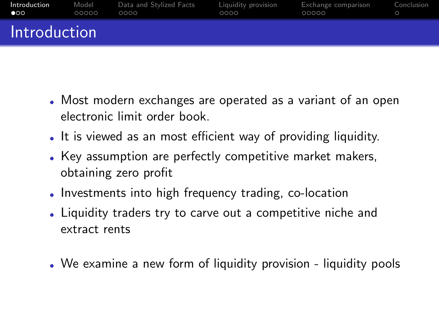<span id="page-1-0"></span>

| Introduction | Model | Data and Stylized Facts | Liauidity provision | Exchange comparison | Conclusion |
|--------------|-------|-------------------------|---------------------|---------------------|------------|
| $\bullet$    | 00000 | ೧೧೧೧                    | 0000                | 00000               |            |
| Introduction |       |                         |                     |                     |            |

- Most modern exchanges are operated as a variant of an open electronic limit order book.
- It is viewed as an most efficient way of providing liquidity.
- Key assumption are perfectly competitive market makers, obtaining zero profit
- . Investments into high frequency trading, co-location
- Liquidity traders try to carve out a competitive niche and extract rents
- We examine a new form of liquidity provision liquidity pools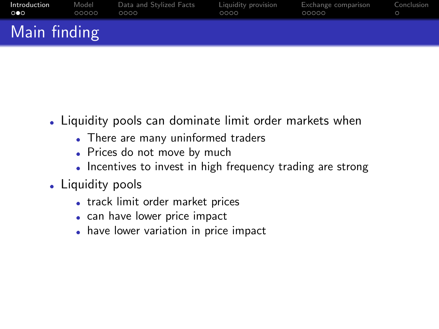| Introduction | Model | Data and Stylized Facts | Liquidity provision | Exchange comparison | Conclusion |
|--------------|-------|-------------------------|---------------------|---------------------|------------|
| ററെ          | 00000 | 0000                    | 0000                | 00000               |            |
| Main finding |       |                         |                     |                     |            |

- Liquidity pools can dominate limit order markets when
	- There are many uninformed traders
	- Prices do not move by much
	- Incentives to invest in high frequency trading are strong
- Liquidity pools
	- track limit order market prices
	- can have lower price impact
	- have lower variation in price impact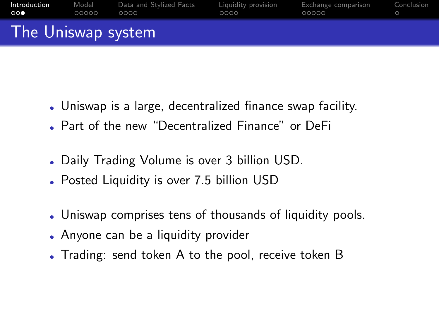| Introduction          | Model | Data and Stylized Facts | Liauidity provision | Exchange comparison | Conclusion |
|-----------------------|-------|-------------------------|---------------------|---------------------|------------|
| $\circ \circ \bullet$ | 00000 | 0000                    | 0000                | 00000               |            |
| The Uniswap system    |       |                         |                     |                     |            |

- Uniswap is a large, decentralized finance swap facility.
- Part of the new "Decentralized Finance" or DeFi
- Daily Trading Volume is over 3 billion USD.
- Posted Liquidity is over 7.5 billion USD
- Uniswap comprises tens of thousands of liquidity pools.
- Anyone can be a liquidity provider
- Trading: send token A to the pool, receive token B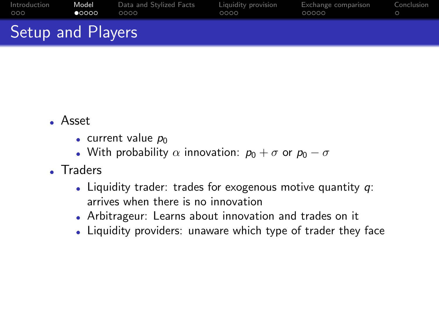<span id="page-4-0"></span>

| Introduction      | Model          | Data and Stylized Facts | Liauidity provision | Exchange comparison | Conclusion |
|-------------------|----------------|-------------------------|---------------------|---------------------|------------|
| 000               | $\bullet$ 0000 | റററെ                    | 0000                | 00000               |            |
| Setup and Players |                |                         |                     |                     |            |

- Asset
	- $\bullet$  current value  $p_0$
	- With probability  $\alpha$  innovation:  $p_0 + \sigma$  or  $p_0 \sigma$
- Traders
	- $\bullet$  Liquidity trader: trades for exogenous motive quantity  $q$ : arrives when there is no innovation
	- Arbitrageur: Learns about innovation and trades on it
	- Liquidity providers: unaware which type of trader they face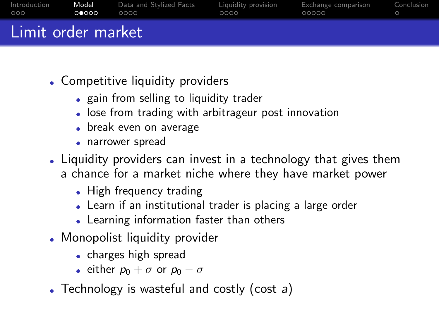| Introduction       | Model | Data and Stylized Facts | Liquidity provision | Exchange comparison | Conclusion |
|--------------------|-------|-------------------------|---------------------|---------------------|------------|
| 000                | ററേററ | 0000                    | ററററ                | 00000               |            |
| Limit order market |       |                         |                     |                     |            |

- Competitive liquidity providers
	- gain from selling to liquidity trader
	- $\bullet$ lose from trading with arbitrageur post innovation
	- break even on average
	- narrower spread
- Liquidity providers can invest in a technology that gives them a chance for a market niche where they have market power
	- High frequency trading
	- Learn if an institutional trader is placing a large order
	- Learning information faster than others
- Monopolist liquidity provider
	- charges high spread
	- $\bullet\,$  either  $p_0+\sigma$  or  $p_0-\sigma$
- Technology is wasteful and costly (cost  $a$ )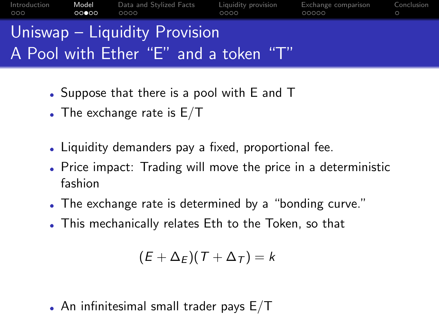

- Suppose that there is a pool with E and T
- $\bullet$  The exchange rate is E/T
- Liquidity demanders pay a fixed, proportional fee.
- Price impact: Trading will move the price in a deterministic fashion
- $\bullet$ The exchange rate is determined by a "bonding curve."
- This mechanically relates Eth to the Token, so that

$$
(E+\Delta_E)(T+\Delta_T)=k
$$

 $\bullet$  An infinitesimal small trader pays  $\mathsf{E}/\mathsf{T}$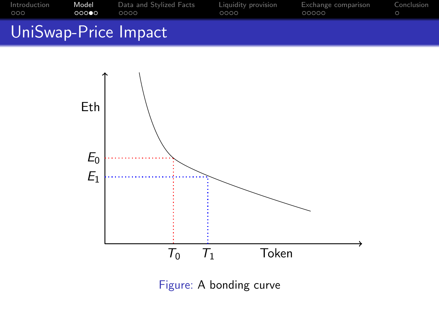| Introduction | Model | Data and Stvlized Facts | Liauidity provision | Exchange comparison | Conclusion |
|--------------|-------|-------------------------|---------------------|---------------------|------------|
| OOO.         | 00000 | 0000                    | 0000                | 00000               |            |
|              |       | IniSwan-Price Impact    |                     |                     |            |





Figure: A bonding curve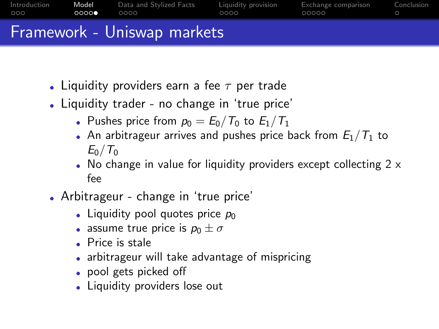

- Liquidity providers earn a fee  $\tau$  per trade
- Liquidity trader no change in 'true price'
	- $\bullet\,$  Pushes price from  $\rho_0 = E_0/\mathcal{T}_0$  to  $E_1/\mathcal{T}_1$
	- $\bullet$  An arbitrageur arrives and pushes price back from  $E_1/\mathcal{T}_1$  to  $E_0/T_0$
	- $\bullet$  No change in value for liquidity providers except collecting 2  $\times$ fee
- Arbitrageur change in 'true price'
	- Liquidity pool quotes price  $\rho_0$
	- $\bullet\,$  assume true price is  $\rho_0\pm\sigma$
	- $\bullet$ Price is stale
	- $\bullet$ arbitrageur will take advantage of mispricing
	- pool gets picked off
	- Liquidity providers lose out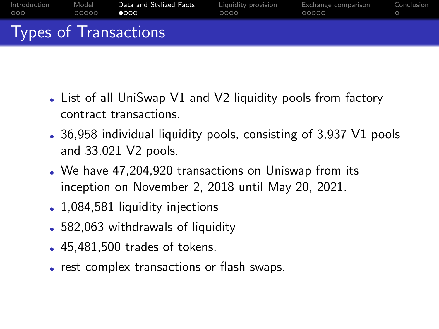<span id="page-9-0"></span>

| Introduction | Model | Data and Stylized Facts | Liauidity provision | Exchange comparison | Conclusion |
|--------------|-------|-------------------------|---------------------|---------------------|------------|
| 000          | 00000 | $\bullet$ 000           | 0000                | 00000               |            |
|              |       | Types of Transactions   |                     |                     |            |

- List of all UniSwap V1 and V2 liquidity pools from factory contract transactions.
- 36,958 individual liquidity pools, consisting of 3,937 V1 pools and 33,021 V2 pools.
- We have 47,204,920 transactions on Uniswap from its inception on November 2, 2018 until May 20, 2021.
- 1,084,581 liquidity injections
- 582,063 withdrawals of liquidity
- 45,481,500 trades of tokens.
- rest complex transactions or flash swaps.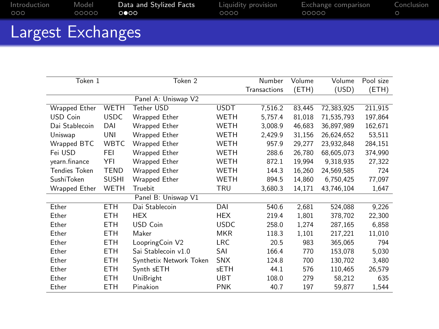| Introduction                                    | Model | Data and Stylized Facts | Liquidity provision | Exchange comparison | Conclusion |
|-------------------------------------------------|-------|-------------------------|---------------------|---------------------|------------|
| OOO.                                            | OOOOO | ററേറ                    | $0000 -$            | 00000               |            |
| the contract of the contract of the contract of |       |                         |                     |                     |            |

|  | Largest Exchanges |
|--|-------------------|
|--|-------------------|

| Token 1           |              | Token 2                 |             | Number       | Volume | Volume     | Pool size |
|-------------------|--------------|-------------------------|-------------|--------------|--------|------------|-----------|
|                   |              |                         |             | Transactions | (ETH)  | (USD)      | (ETH)     |
|                   |              | Panel A: Uniswap V2     |             |              |        |            |           |
| Wrapped Ether     | <b>WETH</b>  | Tether USD              | <b>USDT</b> | 7,516.2      | 83.445 | 72.383.925 | 211,915   |
| USD Coin          | <b>USDC</b>  | Wrapped Ether           | WETH        | 5,757.4      | 81,018 | 71,535,793 | 197,864   |
| Dai Stablecoin    | DAI          | Wrapped Ether           | WETH        | 3,008.9      | 46,683 | 36,897,989 | 162,671   |
| Uniswap           | UNI          | Wrapped Ether           | WETH        | 2.429.9      | 31.156 | 26.624.652 | 53,511    |
| Wrapped BTC       | WBTC.        | Wrapped Ether           | WETH        | 957.9        | 29.277 | 23.932.848 | 284.151   |
| Fei USD           | FEI          | Wrapped Ether           | WETH        | 288.6        | 26,780 | 68,605,073 | 374,990   |
| yearn.finance     | YFI          | Wrapped Ether           | WETH        | 872.1        | 19,994 | 9,318,935  | 27,322    |
| Tendies Token     | <b>TEND</b>  | Wrapped Ether           | WETH        | 144.3        | 16.260 | 24.569.585 | 724       |
| <b>SushiToken</b> | <b>SUSHI</b> | Wrapped Ether           | WETH        | 894.5        | 14,860 | 6,750,425  | 77,097    |
| Wrapped Ether     | <b>WETH</b>  | Truebit                 | TRU         | 3,680.3      | 14,171 | 43,746,104 | 1,647     |
|                   |              | Panel B: Uniswap V1     |             |              |        |            |           |
| Ether             | <b>ETH</b>   | Dai Stablecoin          | DAI         | 540.6        | 2,681  | 524,088    | 9,226     |
| Ether             | <b>ETH</b>   | <b>HEX</b>              | <b>HEX</b>  | 219.4        | 1,801  | 378,702    | 22,300    |
| Ether             | <b>ETH</b>   | USD Coin                | <b>USDC</b> | 258.0        | 1,274  | 287,165    | 6,858     |
| Ether             | <b>ETH</b>   | Maker                   | MKR         | 118.3        | 1,101  | 217.221    | 11,010    |
| Ether             | <b>ETH</b>   | LoopringCoin V2         | LRC.        | 20.5         | 983    | 365,065    | 794       |
| Ether             | <b>ETH</b>   | Sai Stablecoin v1.0     | SAI         | 166.4        | 770    | 153,078    | 5,030     |
| Ether             | <b>ETH</b>   | Synthetix Network Token | <b>SNX</b>  | 124.8        | 700    | 130.702    | 3,480     |
| Ether             | <b>ETH</b>   | Synth sETH              | <b>sETH</b> | 44.1         | 576    | 110,465    | 26,579    |
| Ether             | <b>ETH</b>   | UniBright               | <b>UBT</b>  | 108.0        | 279    | 58,212     | 635       |
| Ether             | ETH          | Pinakion                | <b>PNK</b>  | 40.7         | 197    | 59,877     | 1,544     |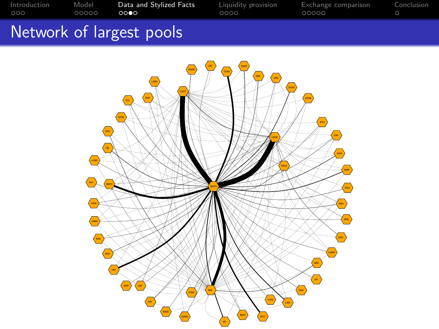|  | Network of largest pools |  |  |
|--|--------------------------|--|--|

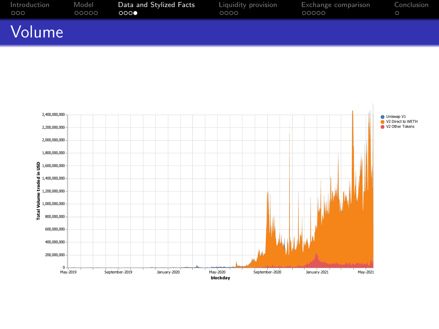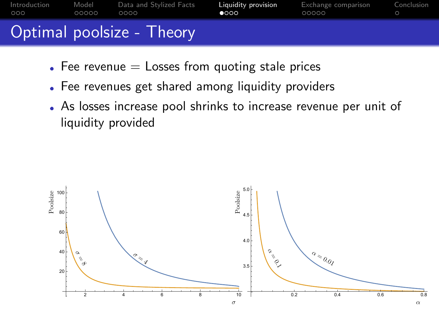<span id="page-13-0"></span>

| Introduction | Model | Data and Stvlized Facts   | Liauidity provision | Exchange comparison | Conclusion |
|--------------|-------|---------------------------|---------------------|---------------------|------------|
| 000          | 00000 | OOOO                      | $\bullet$           | 00000               |            |
|              |       | Optimal poolsize - Theory |                     |                     |            |

- $\bullet$  Fee revenue  $=$  Losses from quoting stale prices
- Fee revenues get shared among liquidity providers
- As losses increase pool shrinks to increase revenue per unit of liquidity provided

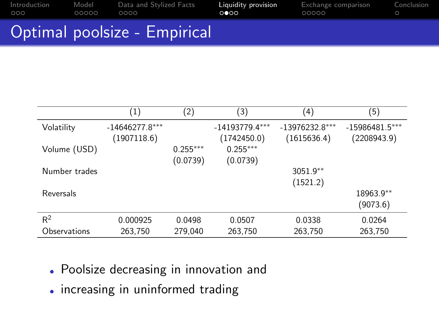| Introduction<br>OOO - | Model<br>OOOOO | ററററ | Data and Stylized Facts | Liquidity provision<br>റ∩റെ | Exchange comparison<br>OOOOO | Conclusion |
|-----------------------|----------------|------|-------------------------|-----------------------------|------------------------------|------------|
| $\sim$                |                |      |                         |                             |                              |            |

#### Optimal poolsize - Empirical

|               | $\left(1\right)$ | (2)        | (3)              | (4)              | (5)              |
|---------------|------------------|------------|------------------|------------------|------------------|
| Volatility    | $-14646277.8***$ |            | $-14193779.4***$ | $-13976232.8***$ | $-15986481.5***$ |
|               | (1907118.6)      |            | (1742450.0)      | (1615636.4)      | (2208943.9)      |
| Volume (USD)  |                  | $0.255***$ | $0.255***$       |                  |                  |
|               |                  | (0.0739)   | (0.0739)         |                  |                  |
| Number trades |                  |            |                  | $3051.9**$       |                  |
|               |                  |            |                  | (1521.2)         |                  |
| Reversals     |                  |            |                  |                  | 18963.9**        |
|               |                  |            |                  |                  | (9073.6)         |
| $R^2$         | 0.000925         | 0.0498     | 0.0507           | 0.0338           | 0.0264           |
| Observations  | 263,750          | 279,040    | 263,750          | 263,750          | 263,750          |

- Poolsize decreasing in innovation and
- increasing in uninformed trading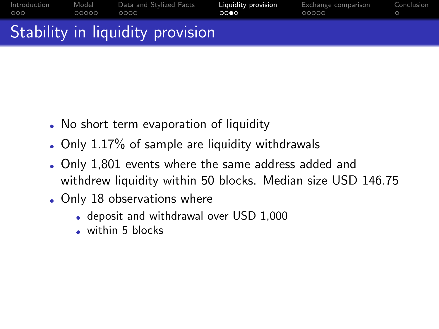| Introduction | Model | Data and Stylized Facts          | Liauidity provision | Exchange comparison | Conclusion |
|--------------|-------|----------------------------------|---------------------|---------------------|------------|
| 000          | 00000 | OOOO                             | റററെ                | 00000               |            |
|              |       | Stability in liquidity provision |                     |                     |            |

- No short term evaporation of liquidity
- Only 1.17% of sample are liquidity withdrawals
- Only 1,801 events where the same address added and withdrew liquidity within 50 blocks. Median size USD 146.75
- Only 18 observations where
	- deposit and withdrawal over USD 1,000
	- within 5 blocks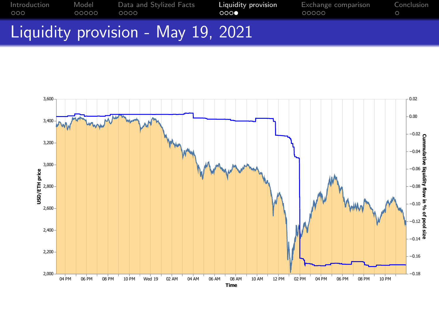

### Liquidity provision - May 19, 2021

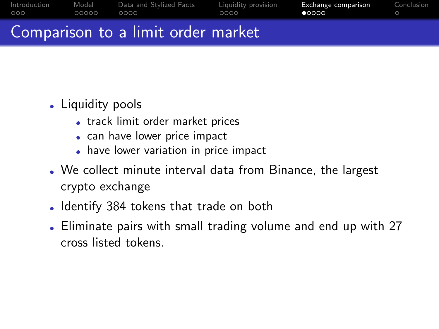<span id="page-17-0"></span>

| Introduction | Model | Data and Stylized Facts            | Liauidity provision | Exchange comparison | Conclusion |
|--------------|-------|------------------------------------|---------------------|---------------------|------------|
| 000          | 00000 | 0000                               | 0000                | 00000               |            |
|              |       | Comparison to a limit order market |                     |                     |            |

# • Liquidity pools

- track limit order market prices
- can have lower price impact
- have lower variation in price impact
- We collect minute interval data from Binance, the largest crypto exchange
- Identify 384 tokens that trade on both
- Eliminate pairs with small trading volume and end up with 27 cross listed tokens.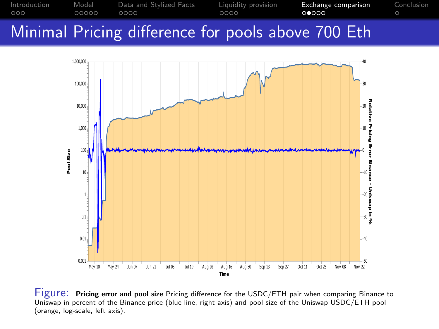



Figure: Pricing error and pool size Pricing difference for the USDC/ETH pair when comparing Binance to Uniswap in percent of the Binance price (blue line, right axis) and pool size of the Uniswap USDC/ETH pool (orange, log-scale, left axis).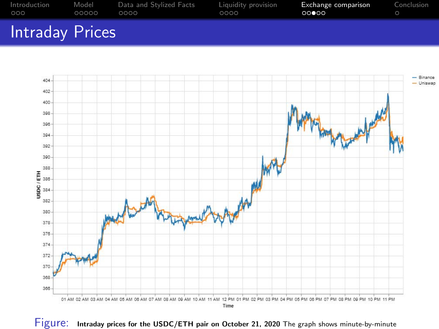



Figure: Intraday prices for the USDC/ETH pair on October 21, 2020 The graph shows minute-by-minute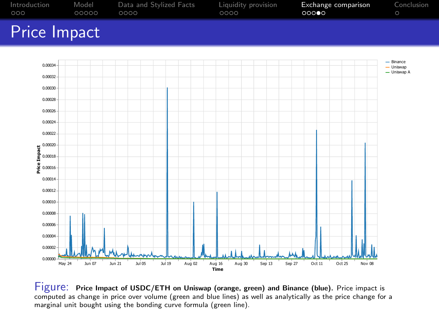

Figure: Price Impact of USDC/ETH on Uniswap (orange, green) and Binance (blue). Price impact is computed as change in price over volume (green and blue lines) as well as analytically as the price change for a marginal unit bought using the bonding curve formula (green line).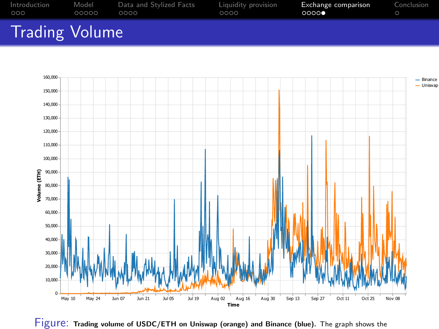

## Trading Volume